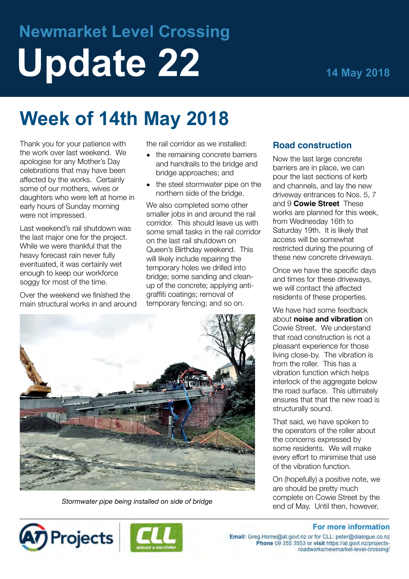# **Newmarket Level Crossing Update 22 14 May 2018**

## **Week of 14th May 2018**

Thank you for your patience with the work over last weekend. We apologise for any Mother's Day celebrations that may have been affected by the works. Certainly some of our mothers, wives or daughters who were left at home in early hours of Sunday morning were not impressed.

Last weekend's rail shutdown was the last major one for the project. While we were thankful that the heavy forecast rain never fully eventuated, it was certainly wet enough to keep our workforce soggy for most of the time.

Over the weekend we finished the main structural works in and around the rail corridor as we installed:

- the remaining concrete barriers and handrails to the bridge and bridge approaches; and
- the steel stormwater pipe on the northern side of the bridge.

We also completed some other smaller jobs in and around the rail corridor. This should leave us with some small tasks in the rail corridor on the last rail shutdown on Queen's Birthday weekend. This will likely include repairing the temporary holes we drilled into bridge; some sanding and cleanup of the concrete; applying antigraffiti coatings; removal of temporary fencing; and so on.



*Stormwater pipe being installed on side of bridge*

#### **Road construction**

Now the last large concrete barriers are in place, we can pour the last sections of kerb and channels, and lay the new driveway entrances to Nos. 5, 7 and 9 **Cowie Street** These works are planned for this week, from Wednesday 16th to Saturday 19th. It is likely that access will be somewhat restricted during the pouring of these new concrete driveways.

Once we have the specific days and times for these driveways, we will contact the affected residents of these properties.

We have had some feedback about **noise and vibration** on Cowie Street. We understand that road construction is not a pleasant experience for those living close-by. The vibration is from the roller. This has a vibration function which helps interlock of the aggregate below the road surface. This ultimately ensures that that the new road is structurally sound.

That said, we have spoken to the operators of the roller about the concerns expressed by some residents. We will make every effort to minimise that use of the vibration function.

On (hopefully) a positive note, we are should be pretty much complete on Cowie Street by the end of May. Until then, however,